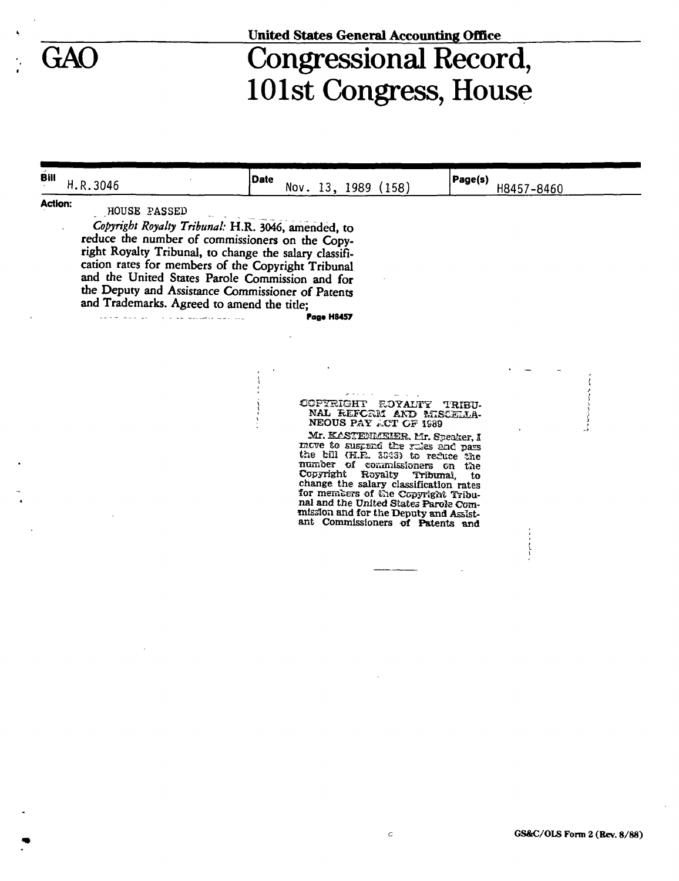### **United States General Accounting Office**

# GAO Congressional Record, 101st Congress, House

**Bill** µ n 2046  $\frac{H.R.3040}{1}$ **Date**  Nov. 13, 1989 (158) **Page(s)**  H8457-8460 **Action:**  HOUSE PASSED *Copyright Royalty Tribunal:* H.R. 3046, amended, to reduce the number of commissioners on the Copyright Royalty Tribunal, to change the salary classification rates for members of the Copyright Tribunal and the United States Parole Commission and for the Deputy and Assistance Commissioner of Patents and Trademarks. Agreed to amend the tide; **Pag«H8457**  CCP^SISHT ROYALTY **TRIBU-**NAL REFORM AND MISCELLA-**NEOUS PAY ACT OF 1989 Mr. KASTENMEHER. Mr. Speaker, I** move to suspend the rules and pass the bill (H.R. 3043) to refuce the number of commissioners on the Copyright Royalty Tribunal, to change the salary classification rates for members of Gie Copyright Tribunal and the United States Parole Commission and for the Bepnty and Assistant Commissioners of Patents **and**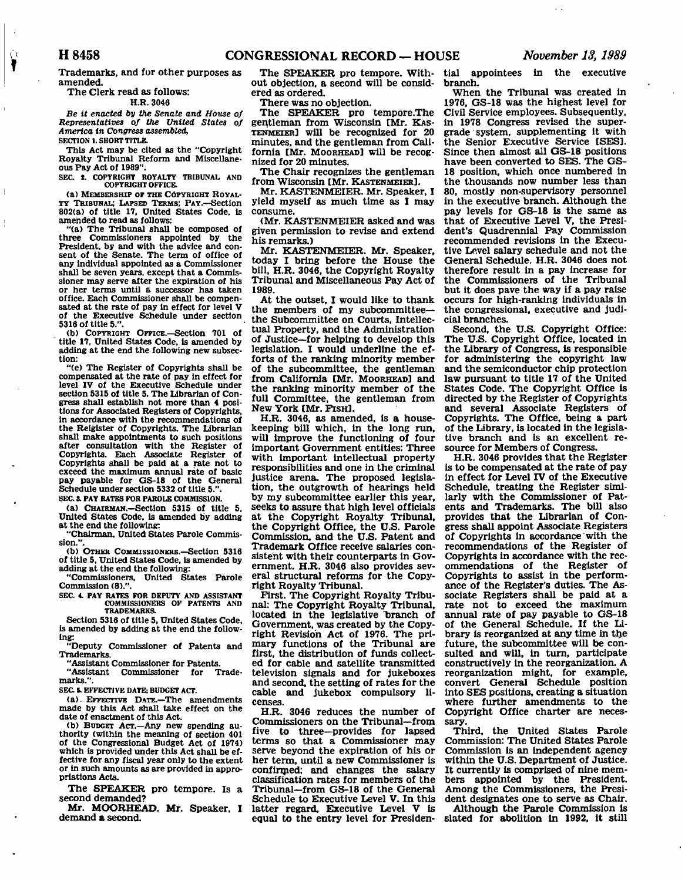**Trademarks, and for other purposes as amended.** 

## **The Clerk read as follows:**

**H.R.3046** 

*Be it enacted by the Senate and House of Representatives of the United States of America in Congress assembled,*  **SECTION 1. SHORT TITLE.** 

**This Act may be cited as the "Copyright Royalty Tribunal Reform and Miscellaneous Pay Act of 1989".** 

**SEC.** *X.* **COPYRIGHT ROYALTY TRIBUNAL AND COPYRIGHT OFFICE.** 

**(a) MEMBERSHIP or THE COPYRIGHT ROYAL-TY TRIBUNAL; LAPSED TERMS; PAY.—Section 802(a) of title 17. United States Code, is amended to read as follows:** 

**"(a) The Tribunal shall be composed of three Commissioners appointed by the President, by and with the advice and consent of the Senate. The term of office of any individual appointed as a Commissioner shall be seven years, except that a Commissioner may serve after the expiration of his or her terms until a successor has taken office. Each Commissioner shall be compensated at the rate of pay in effect for level V of the Executive Schedule under section 5318 of title 5.".** 

**(b) COPYRIGHT OFFICE.—Section 701 of ' title 17, United States Code, is amended by adding at the end the following new subsection:** 

**"(e) The Register of Copyrights shall be compensated at the rate of pay in effect for level IV of the Executive Schedule under section 5315 of title 5. The Librarian of Congress shall establish not more than 4 positions for Associated Registers of Copyrights, in accordance with the recommendations of the Relgister of Copyrights. The Librarian shall make appointments to such positions after consultation with the Register of Copyrights. Each Associate Register of Copyrights shall be paid at a rate not to exceed the maximum annual rate of basic pay payable for GS-18 of the General Schedule under section 5332 of title 5.".** 

**SEC.** *i.* **PAY RATES FOR PAROLE COMMISSION.** 

**(a) CHAIRMAN.—Section 5315 of title 5, United States Code, Is amended by adding** 

**at the end the following: "Chairman, United States Parole Commis-**

**sion.". (b) OTHER COMMISSIONERS.—Section 5316 of title 5, United States Code, is amended by adding at the end the following:** 

**"Commissioners, United States Parole Commission (8).".** 

**SEC. 4. PAY RATES FOR DEPUTY AND ASSISTANT COMMISSIONERS OF PATENTS AND TRADEMARKS.** 

**Section 5316 of title 5, United States Code, is amended by adding at the end the following:** 

**"Deputy Commissioner of Patents and Trademarks.** 

**"Assistant Commissioner for Patents.**  Commissioner for **marks.".** 

**S EC 5. EFFECTIVE DATE; BUDGET ACT.** 

**(a). EFFECTIVE DATE.—The amendments made by this Act shall take effect on the date of enactment of this Act.** 

**(b) BUDGET ACT.—Any new spending authority (within the meaning of section 401 of the Congressional Budget Act of 1974) which is provided under this Act shall be effective for any fiscal year only to the extent or in such amounts as are provided in appropriations Acts.** 

**The SPEAKER pro tempore. Is a second demanded?** 

**Mr. MOORHEAD. Mr. Speaker, I demand a second.** 

**The SPEAKER pro tempore. Without objection, a second will be considered as ordered.** 

**There was no objection.** 

**The SPEAKER pro tempore.The gentleman from Wisconsin [Mr. KAS-TENMEIER] will be recognized for 20 minutes, and the gentleman from California [Mr. MOORHEAD] will be recognized for 20 minutes.** 

**The Chair recognizes the gentleman**  from Wisconsin [Mr. KASTENMEIER].

**Mr. KASTENMEIER. Mr. Speaker, I yield myself as much time as I may consume.** 

**(Mr. KASTENMEIER asked and was given permission to revise and extend his remarks.)** 

**Mr. KASTENMEIER. Mr. Speaker, today I bring before the House the bill, H.R. 3046, the Copyright Royalty Tribunal and Miscellaneous Pay Act of 1989.** 

**At the outset, I would like to thank the members of my subcommittee the Subcommittee on Courts, Intellectual Property, and the Administration of Justice—for helping to develop this legislation. I would underline the efforts of the ranking minority member of the subcommittee, the gentleman from California [Mr. MOORHEAD] and the ranking minority member of the full Committee, the gentleman from New York [Mr. PISH].** 

**H.R. 3046, as amended, is a housekeeping bill which, in the long run, will improve the functioning of four important Government entities: Three with important intellectual property responsibilities and one in the criminal justice arena. The proposed legislation, the outgrowth of hearings held by my subcommittee earlier this year, seeks to assure that high level officials at the Copyright Royalty Tribunal, the Copyright Office, the U.S. Parole Commission, and the U.S. Patent and Trademark Office receive salaries consistent with their counterparts in Government. H.R. 3046 also provides several structural reforms for the Copyright Royalty Tribunal.** 

**First. The Copyright Royalty Tribunal: The Copyright Royalty Tribunal,**  located in the legislative branch of **Government, was created by the Copyright Revision Act of 1976. The primary functions of the Tribunal are first, the distribution of funds collected for cable and satellite transmitted television signals and for jukeboxes and second, the setting of rates for the cable and jukebox compulsory licenses.** 

**H.R. 3046 reduces the number of Commissioners on the Tribunal—from five to three—provides for lapsed terms so that a Commissioner may serve beyond the expiration of his or her term, until a new Commissioner is confirmed; and changes the salary classification rates for members of the Tribunal—from GS-18 of the General Schedule to Executive Level V. In this latter regard. Executive Level V is equal to the entry level for Presiden-**

**tial appointees in the executive branch.** 

**When the Tribunal was created in 1976, GS-18 was the highest level for Civil Service employees. Subsequently, in 1978 Congress revised the supergrade system, supplementing it with the Senior Executive Service [SES]. Since then almost all GS-18 positions have been converted to SES. The GS-18 position, which once numbered in the thousands now number less than 80, mostly non-supervisory personnel in the executive branch. Although the pay levels for GS-18 is the same as that of Executive Level V, the President's Quadrennial Pay Commission recommended revisions in the Executive Level salary schedule and not the General Schedule. H.R. 3046 does not therefore result in a pay increase for the Commissioners of the Tribunal but it does pave the way if a pay raise occurs for high-ranking individuals in the congressional, executive and judicial branches.** 

**Second, the U.S. Copyright Office: The U.S. Copyright Office, located in the Library of Congress, is responsible for administering the copyright law and the semiconductor chip protection law pursuant to title 17 of the United States Code. The Copyright Office is directed by the Register of Copyrights and several Associate Registers of Copyrights. The Office, being a part of the Library, is located in the legislative branch and is an excellent resource for Members of Congress.** 

**H.R. 3046 provides that the Register is to be compensated at the rate of pay in effect for Level IV of the Executive Schedule, treating the Register similarly with the Commissioner of Patents and Trademarks. The bill also provides that the Librarian of Congress shall appoint Associate Registers of Copyrights in accordance with the recommendations of the Register of Copyrights in accordance with the recommendations of the Register of Copyrights to assist in the performance of the Register's duties. The Associate Registers shall be paid at a rate not to exceed the maximum annual rate of pay payable to GS-18 of the General Schedule. If the Library is reorganized at any time in the future, the subcommittee will be consulted and will, in turn, participate constructively in the reorganization. A reorganization might, for example, convert General Schedule position into SES positions, creating a situation where further amendments to the Copyright Office charter are necessary.** 

**Third, the United States Parole Commission: The United States Parole Commission is an independent agency within the U.S. Department of Justice. It currently is comprised of nine members appointed by the President. Among the Commissioners, the President designates one to serve as Chair. Although the Parole Commission is slated for abolition In 1992, it still** 

 $\widehat{\bigcap}$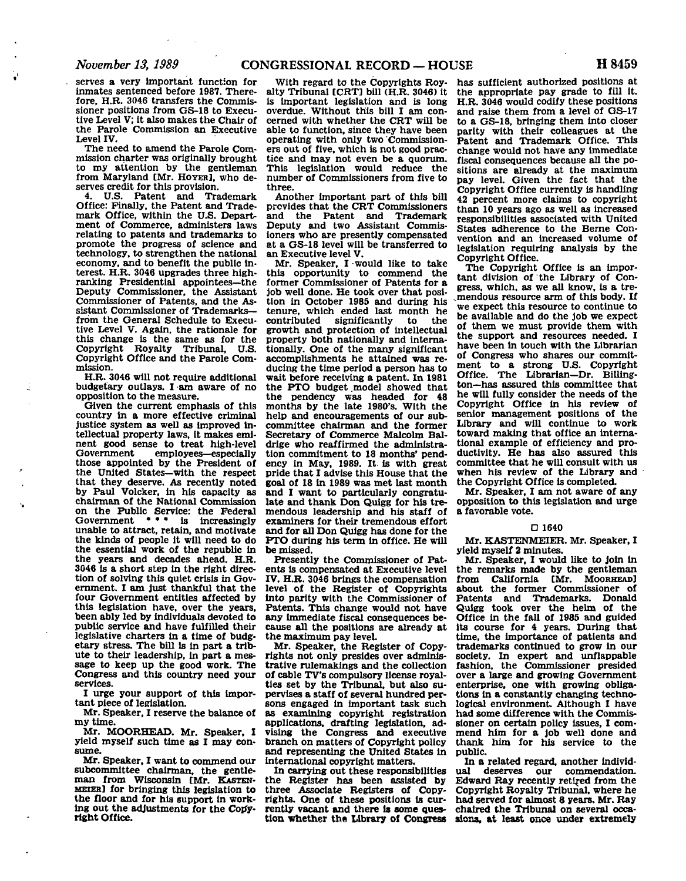**serves a very important function for inmates sentenced before 1987. Therefore, H.B. 3046 transfers the Commissioner positions from GS-18 to Executive Level V; it also makes the Chair of the Parole Commission an Executive Level IV.** 

**The need to amend the Parole Commission charter was originally brought to my attention by the gentleman from Maryland [Mr. HOYER], who deserves credit for this provision.** 

**4. U.S. Patent and Trademark Office: Finally, the Patent and Trademark Office, within the U.S. Department of Commerce, administers laws relating to patents and trademarks to promote the progress of science and technology, to strengthen the national economy, and to benefit the public interest. H.R. 3046 upgrades three highranking Presidential appointees—the Deputy Commissioner, the Assistant Commissioner of Patents, and the Assistant Commissioner of Trademarks from the General Schedule to Executive Level V. Again, the rationale for this change is the same as for the Copyright Royalty Tribunal, U.S. Copyright Office and the Parole Commission.** 

**H.R. 3046 will not require additional budgetary outlays. I am aware of no opposition to the measure.** 

**Given the current emphasis of this country in a more effective criminal justice system as well as improved intellectual property laws, it makes eminent good sense to treat high-level**   $employes—especially$ **those appointed by the President of the United States—with the respect that they deserve. As recently noted by Paul Volcker, in his capacity as chairman of the National Commission on the Public Service: the Federal Government • • • is increasingly unable to attract, retain, and motivate the kinds of people it will need to do the essential work of the republic in the years and decades ahead. H.R. 3046 is a short step in the right direction of solving this quiet crisis in Government. I am Just thankful that the four Government entities affected by this legislation have, over the years, been ably led by individuals devoted to public service and have fulfilled their legislative charters in a time of budgetary stress. The bill is in part a tribute to their leadership, in part a message to keep up the good work. The Congress and this country need your services.** 

**I urge your support of this important piece of legislation.** 

**Mr. Speaker, I reserve the balance of my time.** 

**Mr. MOORHEAD. Mr. Speaker, I yield myself such time as I may consume.** 

**Mr. Speaker, I want to commend our subcommittee chairman, the gentleman from Wisconsin [Mr. KASTEN-MEIER] for bringing this legislation to the floor and for his support in working out the adjustments for the Copyright Office.** 

**With regard to the Copyrights Royalty Tribunal [CRT] bill (H.R. 3046) it is important legislation and is long overdue. Without this bill I am concerned with whether the CRT will be able to function, since they have been operating with only two Commissioners out of five, which is not good practice and may not even be a quorum. This legislation would reduce the number of Commissioners from five to three.** 

**Another important part of this bill provides that the CRT Commissioners and the Patent and Trademark Deputy and two Assistant Commisioners who are presently compensated at a GS-18 level will be transferred to an Executive level V.** 

**Mr. Speaker, I would like to take this opportunity to commend the former Commissioner of Patents for a job well done. He took over that position in October 1985 and during his tenure, which ended last month he**  contributed significantly **growth and protection of intellectual property both nationally and internationally. One of the many significant accomplishments he attained was reducing the time period a person has to wait before receiving a patent. In 1981 the PTO budget model showed that the pendency was headed for 48 months by the late 1980's. With the help and encouragements of our subcommittee chairman and the former Secretary of Commerce Malcolm Baldrige who reaffirmed the administration commitment to 18 months' pendency in May, 1989. It is with great pride that I advise this House that the goal of 18 in 1989 was met last month and I want to particularly congratulate and thank Don Quigg for his tremendous leadership and his staff of examiners for their tremendous effort and for all Don Quigg has done for the PTO during his term in office. He will be missed.** 

**Presently the Commissioner of Patents is compensated at Executive level IV. H.R. 3046 brings the compensation level of the Register of Copyrights into parity with the Commissioner of Patents. This change would not have any immediate fiscal consequences because all the positions are already at the maximum pay level.** 

**Mr. Speaker, the Register of Copyrights not only presides over administrative rulemakings and the collection of cable TV's compulsory license royalties set by the Tribunal, but also supervises a staff of several hundred persons engaged in important task such as examining copyright registration applications, drafting legislation, advising the Congress and executive branch on matters of Copyright policy and representing the United States in international copyright matters.** 

**In carrying out these responsibilities the Register has been assisted by three Associate Registers of Copyrights. One of these positions is currently vacant and there is some question whether the Library of Congress** 

**has sufficient authorized positions at the appropriate pay grade to fill it. H.R. 3046 would codify these positions and raise them from a level of GS-17 to a GS-18, bringing them into closer parity with their colleagues at the Patent and Trademark Office. This change would not have any immediate fiscal consequences because all the positions are already at the maximum pay level. Given the fact that the Copyright Office currently is handling 42 percent more claims to copyright than 10 years ago as well as increased responsibilities associated with United States adherence to the Berne Convention and an increased volume of legislation requiring analysis by the Copyright Office.** 

**The Copyright Office is an important division of the Library of Congress, which, as we all know, is a tremendous resource arm of this body. If we expect this resource to continue to be available and do the job we expect of them we must provide them with the support and resources needed. I have been in touch with the Librarian of Congress who shares our commitment to a strong U.S. Copyright Office. The Librarian—Dr. Billington—has assured this committee that he will fully consider the needs of the Copyright Office in his review of senior management positions of the Library and will continue to work toward making that office an international example of efficiency and productivity. He has also assured this committee that he will consult with us when his review of the Library and the Copyright Office is completed.** 

**Mr. Speaker, I am not aware of any opposition to this legislation and urge a favorable vote.** 

#### **O 1640**

**Mr. KASTENMEIER. Mr. Speaker, I yield myself 2 minutes.** 

**Mr. Speaker, I would like to join in the remarks made by the gentleman from California [Mr. MOORHEAD] about the former Commissioner of Patents and Trademarks. Donald Quigg took over the helm of the Office in the fall of 1985 and guided its course for 4 years. During that time, the importance of patients and trademarks continued to grow in our society. In expert and unflappable fashion, the Commissioner presided over a large and growing Government enterprise, one with growing obligations in a constantly changing technological environment. Although I have had some difference with the Commissioner on certain policy issues, I commend him for a job well done and thank him for his service to the public.** 

**In a related regard, another individual deserves our commendation. Edward Ray recently retired from the Copyright Royalty Tribunal, where he had served for almost 8 years. Mr. Ray chaired the Tribunal on several occasions, at least once under extremely**